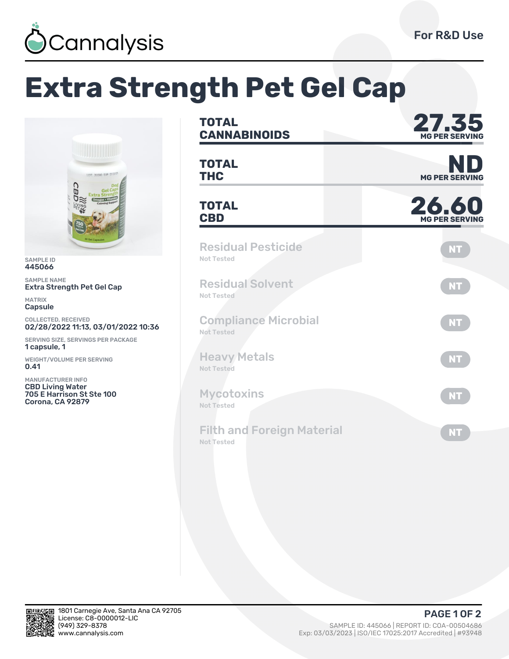

## **Extra Strength Pet Gel Cap**



SAMPLE ID 445066

SAMPLE NAME Extra Strength Pet Gel Cap

MATRIX Capsule

COLLECTED, RECEIVED 02/28/2022 11:13, 03/01/2022 10:36

SERVING SIZE, SERVINGS PER PACKAGE 1 capsule, 1

WEIGHT/VOLUME PER SERVING 0.41

MANUFACTURER INFO CBD Living Water 705 E Harrison St Ste 100 Corona, CA 92879

| <b>TOTAL</b><br><b>CANNABINOIDS</b>                    | 27.35<br><b>MG PER SERVING</b><br><b>MG PER SERVING</b> |  |  |  |
|--------------------------------------------------------|---------------------------------------------------------|--|--|--|
| <b>TOTAL</b><br><b>THC</b>                             |                                                         |  |  |  |
| <b>TOTAL</b><br><b>CBD</b>                             | 26.60<br><b>MG PER SERVING</b>                          |  |  |  |
| <b>Residual Pesticide</b><br>Not Tested                | <b>NT</b>                                               |  |  |  |
| <b>Residual Solvent</b><br>Not Tested                  | <b>NT</b>                                               |  |  |  |
| <b>Compliance Microbial</b><br><b>Not Tested</b>       | <b>NT</b>                                               |  |  |  |
| <b>Heavy Metals</b><br><b>Not Tested</b>               | <b>NT</b>                                               |  |  |  |
| <b>Mycotoxins</b><br><b>Not Tested</b>                 | <b>NT</b>                                               |  |  |  |
| <b>Filth and Foreign Material</b><br><b>Not Tested</b> | <b>NT</b>                                               |  |  |  |



**PAGE 1 OF 2**